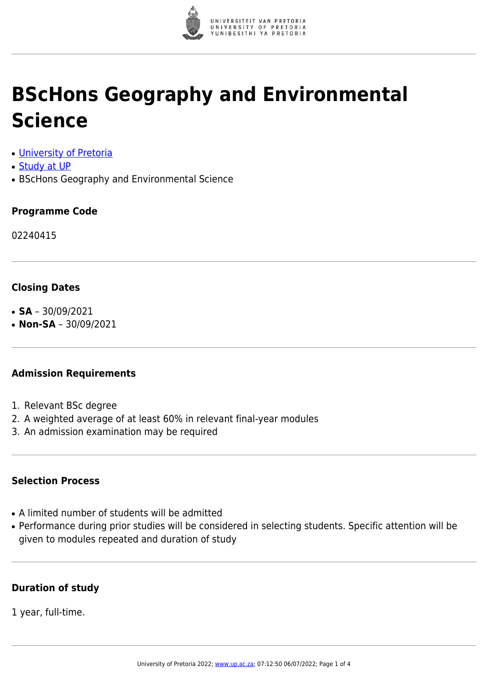

# **BScHons Geography and Environmental Science**

- [University of Pretoria](https://www.up.ac.za/home)
- [Study at UP](https://www.up.ac.za/programmes)
- BScHons Geography and Environmental Science

#### **Programme Code**

02240415

# **Closing Dates**

- $\cdot$  **SA** 30/09/2021
- **Non-SA** 30/09/2021

# **Admission Requirements**

- 1. Relevant BSc degree
- 2. A weighted average of at least 60% in relevant final-year modules
- 3. An admission examination may be required

#### **Selection Process**

- A limited number of students will be admitted
- Performance during prior studies will be considered in selecting students. Specific attention will be given to modules repeated and duration of study

#### **Duration of study**

1 year, full-time.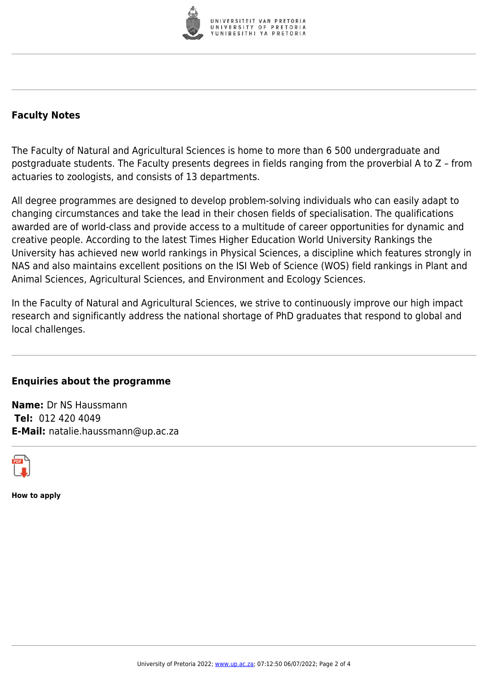

# **Faculty Notes**

The Faculty of Natural and Agricultural Sciences is home to more than 6 500 undergraduate and postgraduate students. The Faculty presents degrees in fields ranging from the proverbial A to Z – from actuaries to zoologists, and consists of 13 departments.

All degree programmes are designed to develop problem-solving individuals who can easily adapt to changing circumstances and take the lead in their chosen fields of specialisation. The qualifications awarded are of world-class and provide access to a multitude of career opportunities for dynamic and creative people. According to the latest Times Higher Education World University Rankings the University has achieved new world rankings in Physical Sciences, a discipline which features strongly in NAS and also maintains excellent positions on the ISI Web of Science (WOS) field rankings in Plant and Animal Sciences, Agricultural Sciences, and Environment and Ecology Sciences.

In the Faculty of Natural and Agricultural Sciences, we strive to continuously improve our high impact research and significantly address the national shortage of PhD graduates that respond to global and local challenges.

# **Enquiries about the programme**

**Name:** Dr NS Haussmann **Tel:** 012 420 4049 **E-Mail:** natalie.haussmann@up.ac.za



**How to apply**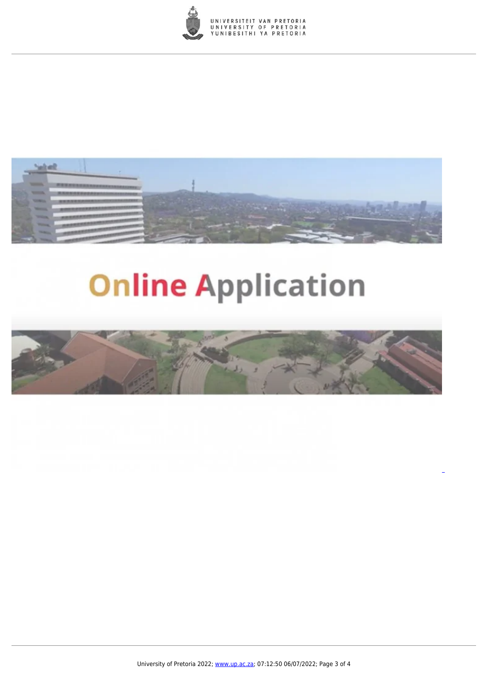



# **Online Application**